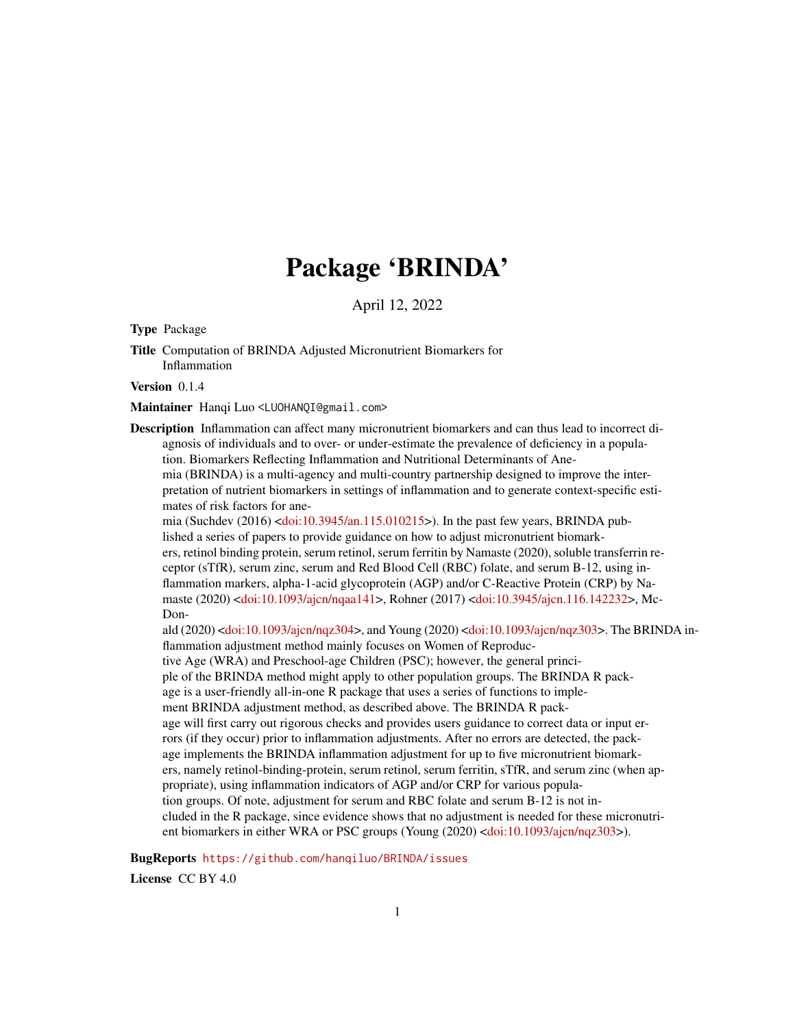## Package 'BRINDA'

April 12, 2022

Type Package

Title Computation of BRINDA Adjusted Micronutrient Biomarkers for Inflammation

Version 0.1.4

Maintainer Hanqi Luo <LUOHANQI@gmail.com>

Description Inflammation can affect many micronutrient biomarkers and can thus lead to incorrect diagnosis of individuals and to over- or under-estimate the prevalence of deficiency in a population. Biomarkers Reflecting Inflammation and Nutritional Determinants of Anemia (BRINDA) is a multi-agency and multi-country partnership designed to improve the interpretation of nutrient biomarkers in settings of inflammation and to generate context-specific estimates of risk factors for anemia (Suchdev (2016) [<doi:10.3945/an.115.010215>](https://doi.org/10.3945/an.115.010215)). In the past few years, BRINDA pub-

lished a series of papers to provide guidance on how to adjust micronutrient biomarkers, retinol binding protein, serum retinol, serum ferritin by Namaste (2020), soluble transferrin receptor (sTfR), serum zinc, serum and Red Blood Cell (RBC) folate, and serum B-12, using inflammation markers, alpha-1-acid glycoprotein (AGP) and/or C-Reactive Protein (CRP) by Namaste (2020) [<doi:10.1093/ajcn/nqaa141>](https://doi.org/10.1093/ajcn/nqaa141), Rohner (2017) [<doi:10.3945/ajcn.116.142232>](https://doi.org/10.3945/ajcn.116.142232), Mc-Don-

ald (2020) [<doi:10.1093/ajcn/nqz304>](https://doi.org/10.1093/ajcn/nqz304), and Young (2020) [<doi:10.1093/ajcn/nqz303>](https://doi.org/10.1093/ajcn/nqz303). The BRINDA inflammation adjustment method mainly focuses on Women of Reproduc-

tive Age (WRA) and Preschool-age Children (PSC); however, the general princi-

ple of the BRINDA method might apply to other population groups. The BRINDA R pack-

age is a user-friendly all-in-one R package that uses a series of functions to implement BRINDA adjustment method, as described above. The BRINDA R pack-

age will first carry out rigorous checks and provides users guidance to correct data or input errors (if they occur) prior to inflammation adjustments. After no errors are detected, the package implements the BRINDA inflammation adjustment for up to five micronutrient biomarkers, namely retinol-binding-protein, serum retinol, serum ferritin, sTfR, and serum zinc (when appropriate), using inflammation indicators of AGP and/or CRP for various population groups. Of note, adjustment for serum and RBC folate and serum B-12 is not included in the R package, since evidence shows that no adjustment is needed for these micronutrient biomarkers in either WRA or PSC groups (Young (2020) [<doi:10.1093/ajcn/nqz303>](https://doi.org/10.1093/ajcn/nqz303)).

BugReports <https://github.com/hanqiluo/BRINDA/issues>

License CC BY 4.0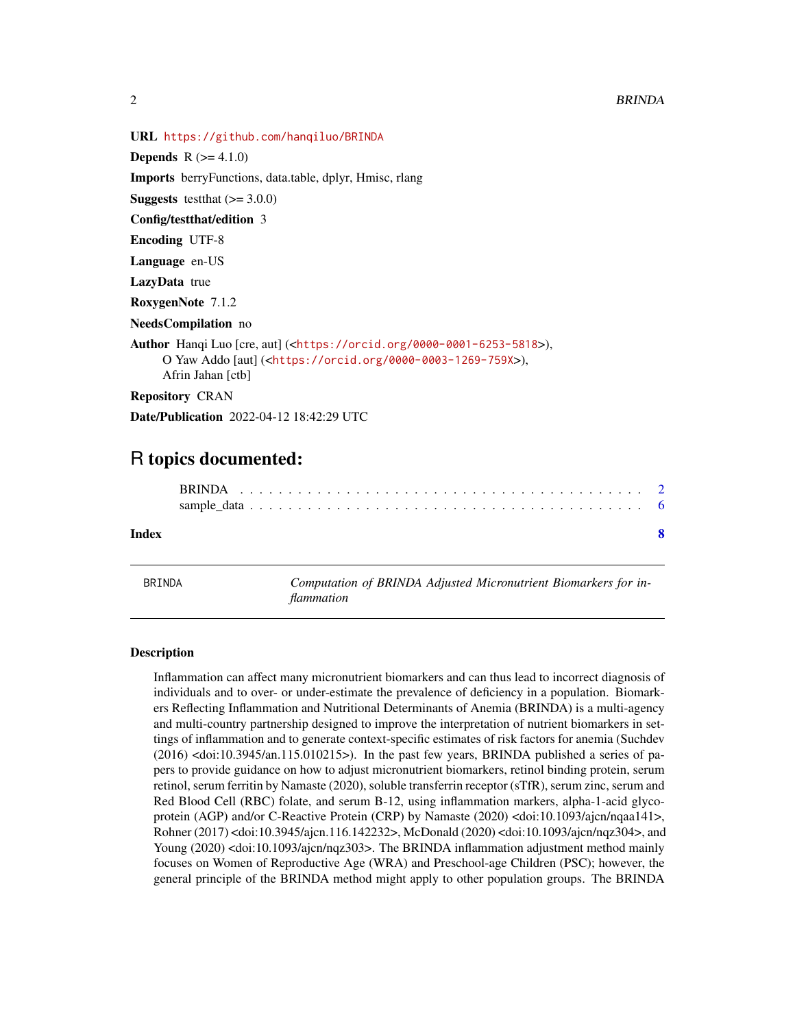<span id="page-1-0"></span>

```
URL https://github.com/hanqiluo/BRINDA
Depends R (= 4.1.0)Imports berryFunctions, data.table, dplyr, Hmisc, rlang
Suggests test that (>= 3.0.0)Config/testthat/edition 3
Encoding UTF-8
Language en-US
LazyData true
RoxygenNote 7.1.2
NeedsCompilation no
Author Hanqi Luo [cre, aut] (<https://orcid.org/0000-0001-6253-5818>),
     O Yaw Addo [aut] (<https://orcid.org/0000-0003-1269-759X>),
     Afrin Jahan [ctb]
Repository CRAN
Date/Publication 2022-04-12 18:42:29 UTC
```
### R topics documented:

| Index |  |
|-------|--|

BRINDA *Computation of BRINDA Adjusted Micronutrient Biomarkers for inflammation*

#### Description

Inflammation can affect many micronutrient biomarkers and can thus lead to incorrect diagnosis of individuals and to over- or under-estimate the prevalence of deficiency in a population. Biomarkers Reflecting Inflammation and Nutritional Determinants of Anemia (BRINDA) is a multi-agency and multi-country partnership designed to improve the interpretation of nutrient biomarkers in settings of inflammation and to generate context-specific estimates of risk factors for anemia (Suchdev  $(2016)$  <doi:10.3945/an.115.010215>). In the past few years, BRINDA published a series of papers to provide guidance on how to adjust micronutrient biomarkers, retinol binding protein, serum retinol, serum ferritin by Namaste (2020), soluble transferrin receptor (sTfR), serum zinc, serum and Red Blood Cell (RBC) folate, and serum B-12, using inflammation markers, alpha-1-acid glycoprotein (AGP) and/or C-Reactive Protein (CRP) by Namaste (2020) <doi:10.1093/ajcn/nqaa141>, Rohner (2017) <doi:10.3945/ajcn.116.142232>, McDonald (2020) <doi:10.1093/ajcn/nqz304>, and Young (2020) <doi:10.1093/ajcn/nqz303>. The BRINDA inflammation adjustment method mainly focuses on Women of Reproductive Age (WRA) and Preschool-age Children (PSC); however, the general principle of the BRINDA method might apply to other population groups. The BRINDA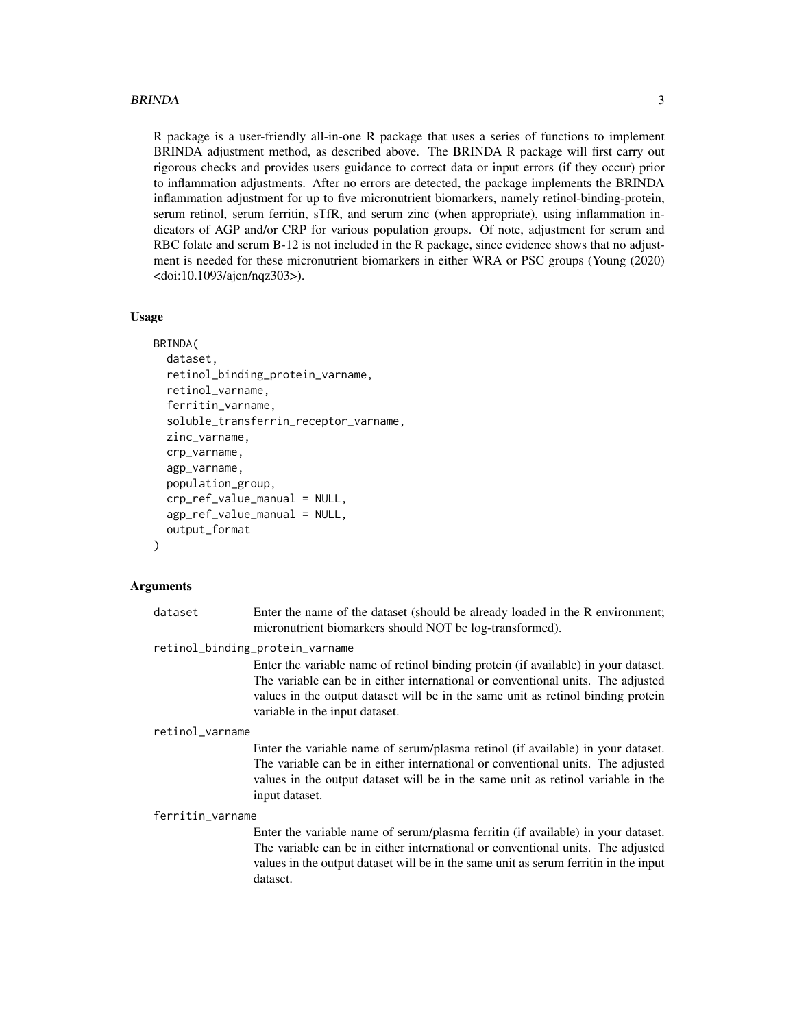#### BRINDA 3

R package is a user-friendly all-in-one R package that uses a series of functions to implement BRINDA adjustment method, as described above. The BRINDA R package will first carry out rigorous checks and provides users guidance to correct data or input errors (if they occur) prior to inflammation adjustments. After no errors are detected, the package implements the BRINDA inflammation adjustment for up to five micronutrient biomarkers, namely retinol-binding-protein, serum retinol, serum ferritin, sTfR, and serum zinc (when appropriate), using inflammation indicators of AGP and/or CRP for various population groups. Of note, adjustment for serum and RBC folate and serum B-12 is not included in the R package, since evidence shows that no adjustment is needed for these micronutrient biomarkers in either WRA or PSC groups (Young (2020) <doi:10.1093/ajcn/nqz303>).

#### Usage

```
BRINDA(
  dataset,
  retinol_binding_protein_varname,
  retinol_varname,
  ferritin_varname,
  soluble_transferrin_receptor_varname,
  zinc_varname,
  crp_varname,
  agp_varname,
  population_group,
  crp_ref_value_manual = NULL,
  agp_ref_value_manual = NULL,
  output_format
\lambda
```
#### Arguments

| dataset | Enter the name of the dataset (should be already loaded in the R environment; |
|---------|-------------------------------------------------------------------------------|
|         | micronutrient biomarkers should NOT be log-transformed).                      |

retinol\_binding\_protein\_varname

Enter the variable name of retinol binding protein (if available) in your dataset. The variable can be in either international or conventional units. The adjusted values in the output dataset will be in the same unit as retinol binding protein variable in the input dataset.

#### retinol\_varname

Enter the variable name of serum/plasma retinol (if available) in your dataset. The variable can be in either international or conventional units. The adjusted values in the output dataset will be in the same unit as retinol variable in the input dataset.

#### ferritin\_varname

Enter the variable name of serum/plasma ferritin (if available) in your dataset. The variable can be in either international or conventional units. The adjusted values in the output dataset will be in the same unit as serum ferritin in the input dataset.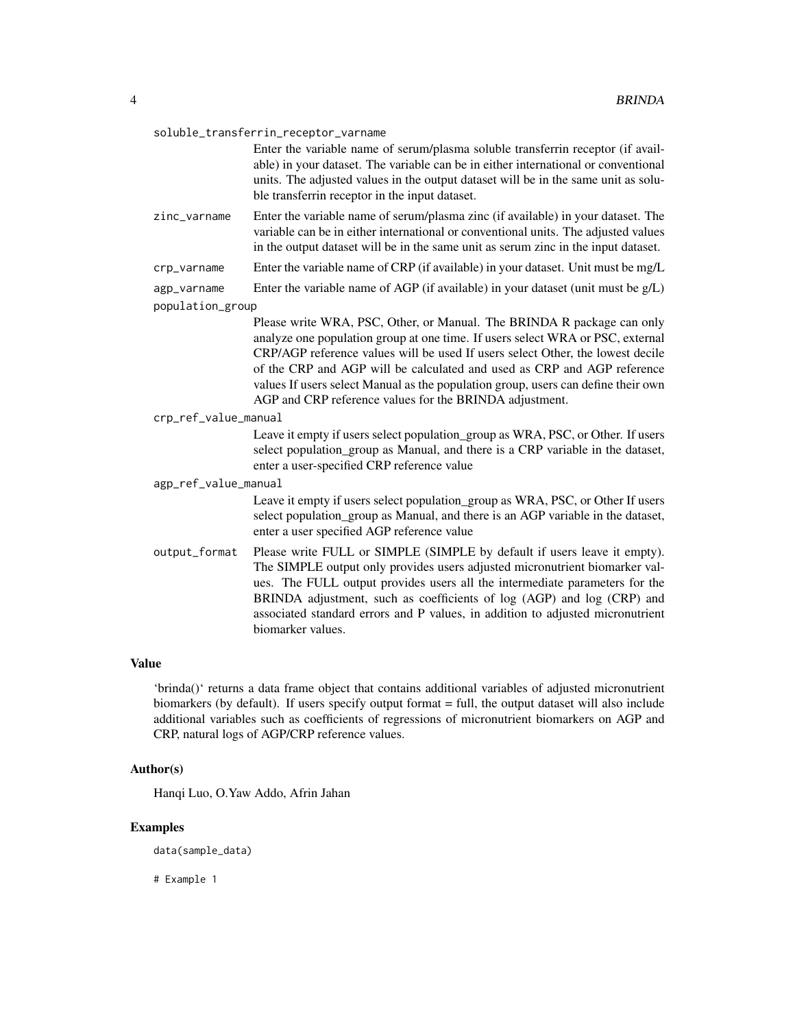#### soluble\_transferrin\_receptor\_varname

Enter the variable name of serum/plasma soluble transferrin receptor (if available) in your dataset. The variable can be in either international or conventional units. The adjusted values in the output dataset will be in the same unit as soluble transferrin receptor in the input dataset.

- zinc\_varname Enter the variable name of serum/plasma zinc (if available) in your dataset. The variable can be in either international or conventional units. The adjusted values in the output dataset will be in the same unit as serum zinc in the input dataset.
- crp\_varname Enter the variable name of CRP (if available) in your dataset. Unit must be mg/L

agp\_varname Enter the variable name of AGP (if available) in your dataset (unit must be  $g/L$ )

population\_group

Please write WRA, PSC, Other, or Manual. The BRINDA R package can only analyze one population group at one time. If users select WRA or PSC, external CRP/AGP reference values will be used If users select Other, the lowest decile of the CRP and AGP will be calculated and used as CRP and AGP reference values If users select Manual as the population group, users can define their own AGP and CRP reference values for the BRINDA adjustment.

#### crp\_ref\_value\_manual

Leave it empty if users select population\_group as WRA, PSC, or Other. If users select population\_group as Manual, and there is a CRP variable in the dataset, enter a user-specified CRP reference value

#### agp\_ref\_value\_manual

Leave it empty if users select population\_group as WRA, PSC, or Other If users select population group as Manual, and there is an AGP variable in the dataset, enter a user specified AGP reference value

output\_format Please write FULL or SIMPLE (SIMPLE by default if users leave it empty). The SIMPLE output only provides users adjusted micronutrient biomarker values. The FULL output provides users all the intermediate parameters for the BRINDA adjustment, such as coefficients of log (AGP) and log (CRP) and associated standard errors and P values, in addition to adjusted micronutrient biomarker values.

#### Value

'brinda()' returns a data frame object that contains additional variables of adjusted micronutrient biomarkers (by default). If users specify output format = full, the output dataset will also include additional variables such as coefficients of regressions of micronutrient biomarkers on AGP and CRP, natural logs of AGP/CRP reference values.

#### Author(s)

Hanqi Luo, O.Yaw Addo, Afrin Jahan

#### Examples

data(sample\_data)

# Example 1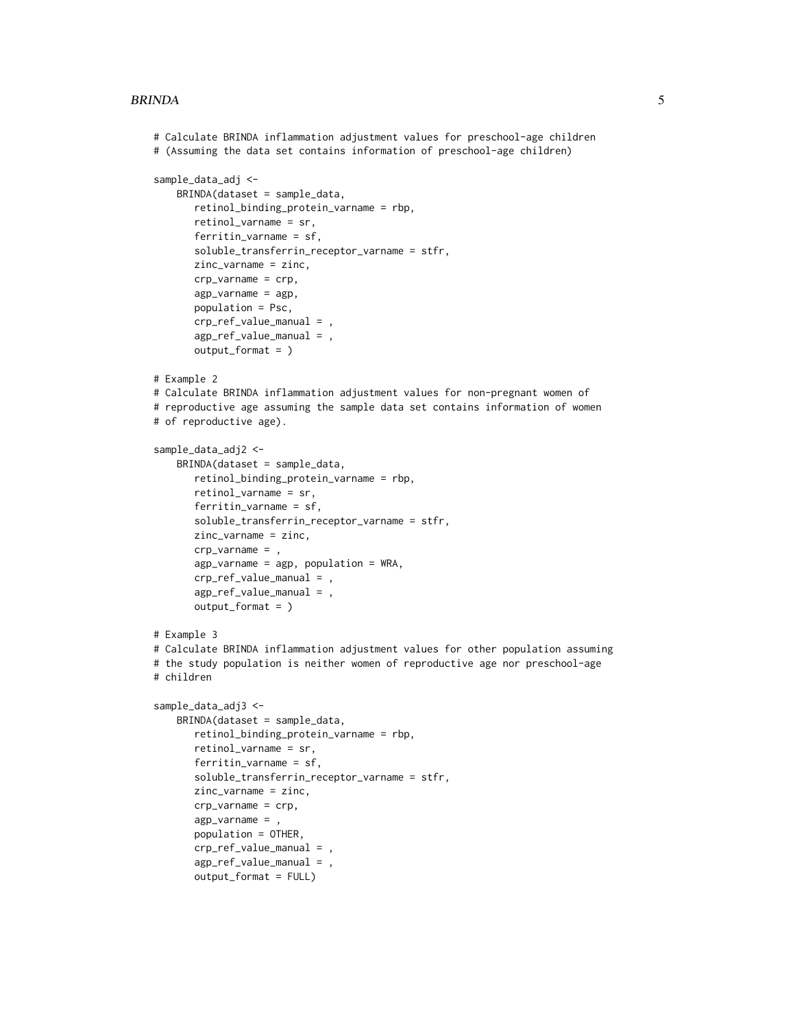#### BRINDA 5

```
# Calculate BRINDA inflammation adjustment values for preschool-age children
# (Assuming the data set contains information of preschool-age children)
sample_data_adj <-
   BRINDA(dataset = sample_data,
      retinol_binding_protein_varname = rbp,
      retinol_varname = sr,
      ferritin_varname = sf,
      soluble_transferrin_receptor_varname = stfr,
      zinc_varname = zinc,
      crp_varname = crp,
      agp_varname = agp,
      population = Psc,
      crp_ref_value_manual = ,
      agp_ref_value_manual = ,
      output_format = )
# Example 2
# Calculate BRINDA inflammation adjustment values for non-pregnant women of
# reproductive age assuming the sample data set contains information of women
# of reproductive age).
sample_data_adj2 <-
   BRINDA(dataset = sample_data,
      retinol_binding_protein_varname = rbp,
      retinol_varname = sr,
      ferritin_varname = sf,
      soluble_transferrin_receptor_varname = stfr,
      zinc_varname = zinc,
      crp_varname = ,
      agp_varname = agp, population = WRA,
      crp_ref_value_manual = ,
      agp_ref_value_manual = ,
      output_format = )
# Example 3
# Calculate BRINDA inflammation adjustment values for other population assuming
# the study population is neither women of reproductive age nor preschool-age
# children
sample_data_adj3 <-
    BRINDA(dataset = sample_data,
      retinol_binding_protein_varname = rbp,
      retinol_varname = sr,
      ferritin_varname = sf,
      soluble_transferrin_receptor_varname = stfr,
      zinc_varname = zinc,
      crp_varname = crp,
      agp_varname = ,
      population = OTHER,
      crp_ref_value_manual = ,
      agp_ref_value_manual = ,
      output_format = FULL)
```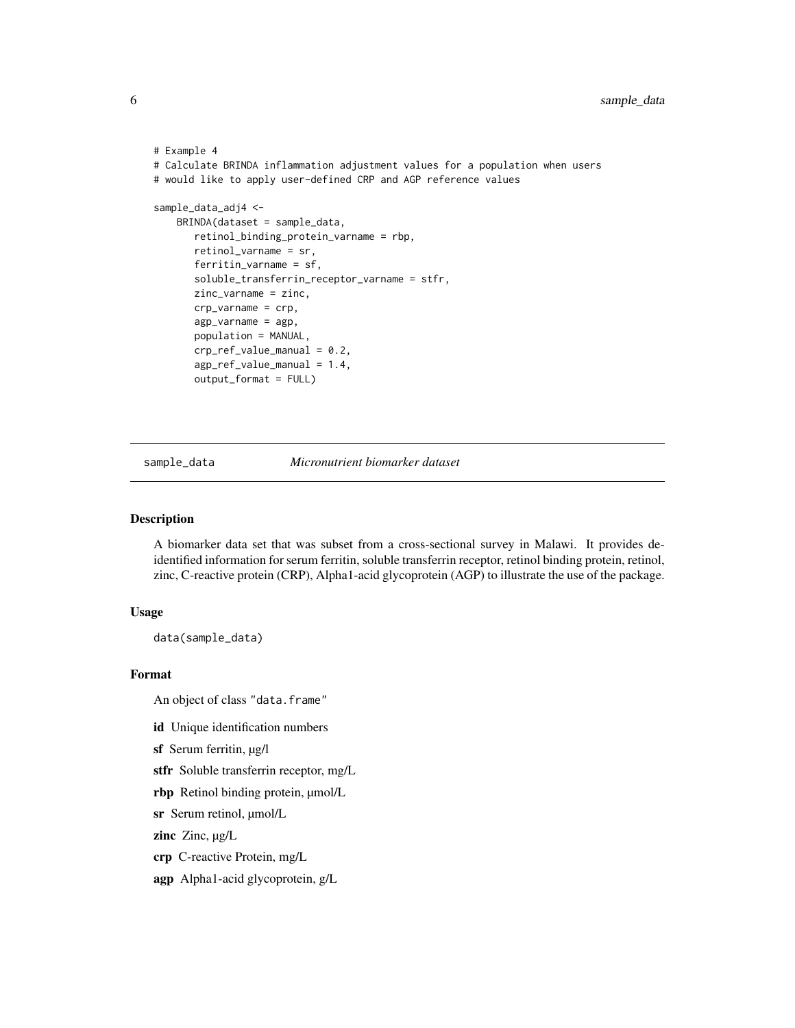```
# Example 4
# Calculate BRINDA inflammation adjustment values for a population when users
# would like to apply user-defined CRP and AGP reference values
sample_data_adj4 <-
   BRINDA(dataset = sample_data,
      retinol_binding_protein_varname = rbp,
      retinol_varname = sr,
      ferritin_varname = sf,
      soluble_transferrin_receptor_varname = stfr,
      zinc_varname = zinc,
      crp_varname = crp,
      agp_varname = agp,
      population = MANUAL,
      crp_ref_value_manual = 0.2,
      agp_ref_value_manual = 1.4,
      output_format = FULL)
```
sample\_data *Micronutrient biomarker dataset*

#### Description

A biomarker data set that was subset from a cross-sectional survey in Malawi. It provides deidentified information for serum ferritin, soluble transferrin receptor, retinol binding protein, retinol, zinc, C-reactive protein (CRP), Alpha1-acid glycoprotein (AGP) to illustrate the use of the package.

#### Usage

data(sample\_data)

#### Format

An object of class "data.frame"

id Unique identification numbers

sf Serum ferritin,  $\mu$ g/l

stfr Soluble transferrin receptor, mg/L

rbp Retinol binding protein, µmol/L

sr Serum retinol, µmol/L

zinc Zinc,  $\mu g/L$ 

crp C-reactive Protein, mg/L

agp Alpha1-acid glycoprotein, g/L

<span id="page-5-0"></span>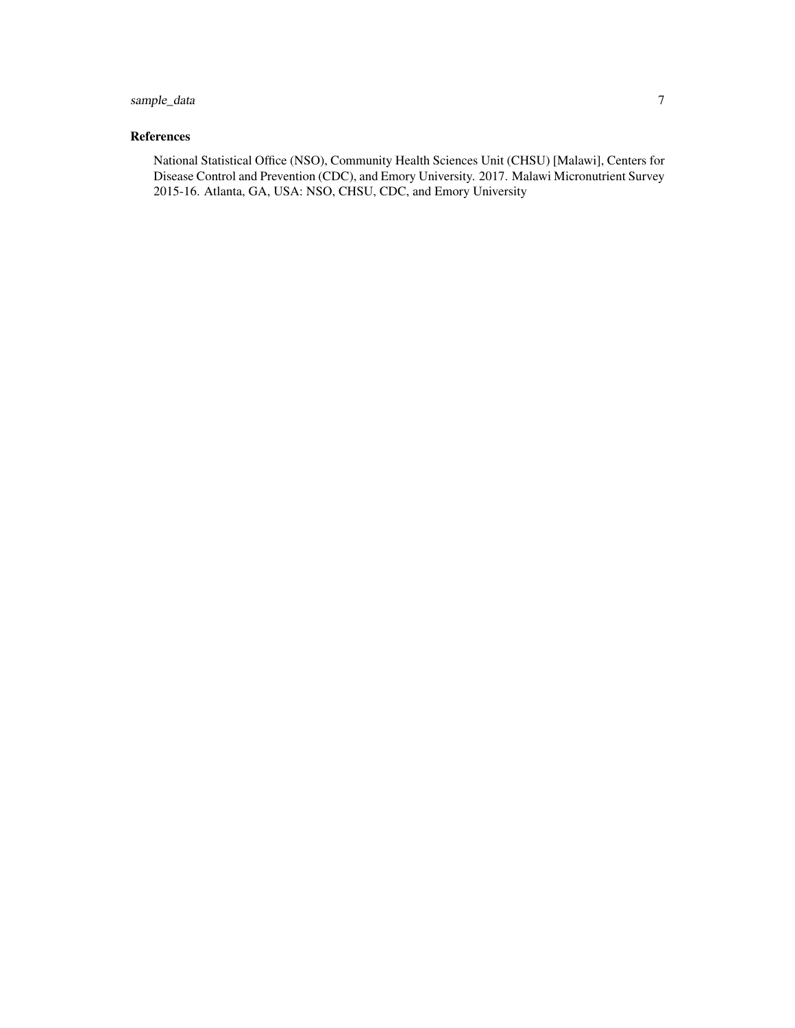#### sample\_data 7

#### References

National Statistical Office (NSO), Community Health Sciences Unit (CHSU) [Malawi], Centers for Disease Control and Prevention (CDC), and Emory University. 2017. Malawi Micronutrient Survey 2015-16. Atlanta, GA, USA: NSO, CHSU, CDC, and Emory University